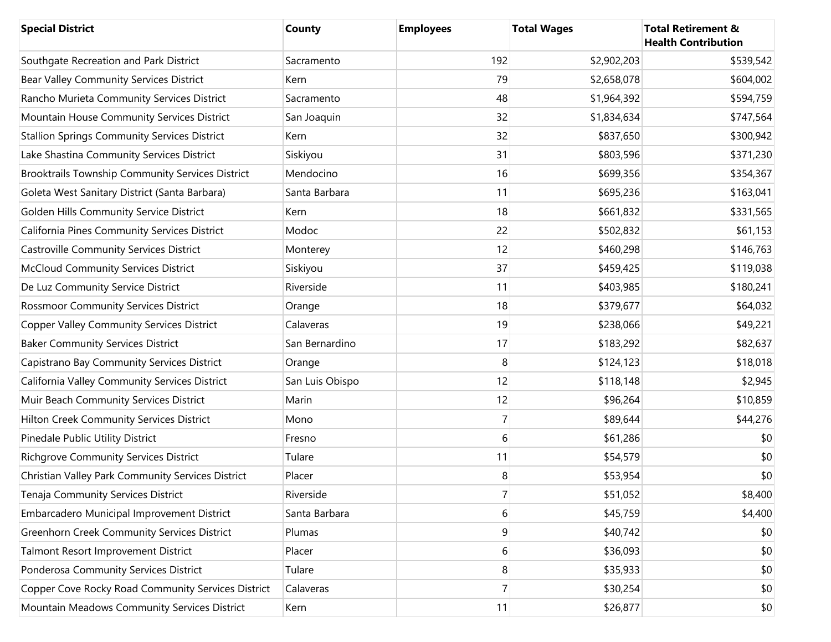| <b>Special District</b>                             | County          | <b>Employees</b> | <b>Total Wages</b> | <b>Total Retirement &amp;</b><br><b>Health Contribution</b> |
|-----------------------------------------------------|-----------------|------------------|--------------------|-------------------------------------------------------------|
| Southgate Recreation and Park District              | Sacramento      | 192              | \$2,902,203        | \$539,542                                                   |
| Bear Valley Community Services District             | Kern            | 79               | \$2,658,078        | \$604,002                                                   |
| Rancho Murieta Community Services District          | Sacramento      | 48               | \$1,964,392        | \$594,759                                                   |
| Mountain House Community Services District          | San Joaquin     | 32               | \$1,834,634        | \$747,564                                                   |
| <b>Stallion Springs Community Services District</b> | Kern            | 32               | \$837,650          | \$300,942                                                   |
| Lake Shastina Community Services District           | Siskiyou        | 31               | \$803,596          | \$371,230                                                   |
| Brooktrails Township Community Services District    | Mendocino       | 16               | \$699,356          | \$354,367                                                   |
| Goleta West Sanitary District (Santa Barbara)       | Santa Barbara   | 11               | \$695,236          | \$163,041                                                   |
| Golden Hills Community Service District             | Kern            | 18               | \$661,832          | \$331,565                                                   |
| California Pines Community Services District        | Modoc           | 22               | \$502,832          | \$61,153                                                    |
| <b>Castroville Community Services District</b>      | Monterey        | 12               | \$460,298          | \$146,763                                                   |
| <b>McCloud Community Services District</b>          | Siskiyou        | 37               | \$459,425          | \$119,038                                                   |
| De Luz Community Service District                   | Riverside       | 11               | \$403,985          | \$180,241                                                   |
| <b>Rossmoor Community Services District</b>         | Orange          | 18               | \$379,677          | \$64,032                                                    |
| <b>Copper Valley Community Services District</b>    | Calaveras       | 19               | \$238,066          | \$49,221                                                    |
| <b>Baker Community Services District</b>            | San Bernardino  | 17               | \$183,292          | \$82,637                                                    |
| Capistrano Bay Community Services District          | Orange          | 8                | \$124,123          | \$18,018                                                    |
| California Valley Community Services District       | San Luis Obispo | 12               | \$118,148          | \$2,945                                                     |
| Muir Beach Community Services District              | Marin           | 12               | \$96,264           | \$10,859                                                    |
| Hilton Creek Community Services District            | Mono            | $\overline{7}$   | \$89,644           | \$44,276                                                    |
| Pinedale Public Utility District                    | Fresno          | 6                | \$61,286           | \$0                                                         |
| <b>Richgrove Community Services District</b>        | Tulare          | 11               | \$54,579           | \$0                                                         |
| Christian Valley Park Community Services District   | Placer          | 8                | \$53,954           | \$0                                                         |
| Tenaja Community Services District                  | Riverside       | 7                | \$51,052           | \$8,400                                                     |
| Embarcadero Municipal Improvement District          | Santa Barbara   | 6                | \$45,759           | \$4,400                                                     |
| <b>Greenhorn Creek Community Services District</b>  | Plumas          | 9                | \$40,742           | \$0                                                         |
| Talmont Resort Improvement District                 | Placer          | 6                | \$36,093           | \$0                                                         |
| Ponderosa Community Services District               | Tulare          | 8                | \$35,933           | \$0                                                         |
| Copper Cove Rocky Road Community Services District  | Calaveras       | $\overline{7}$   | \$30,254           | \$0                                                         |
| Mountain Meadows Community Services District        | Kern            | 11               | \$26,877           | \$0                                                         |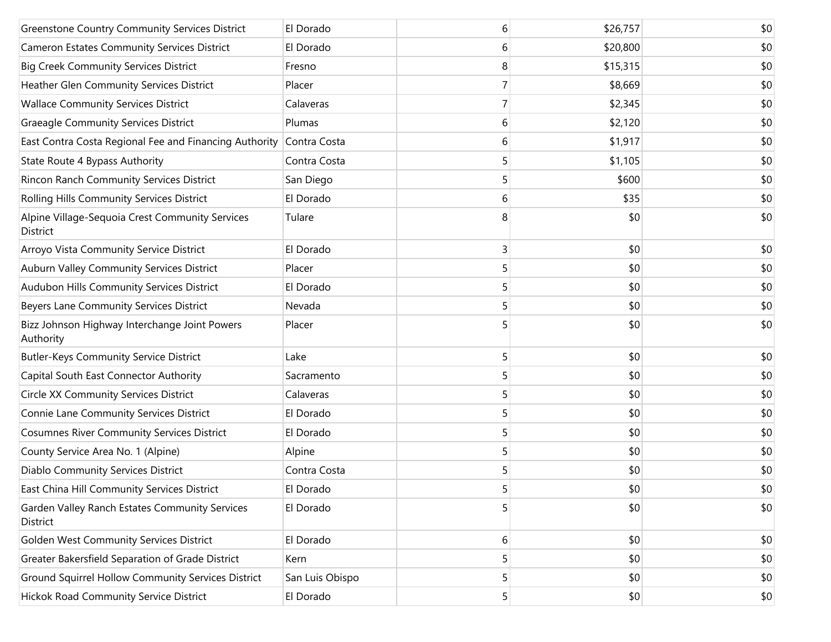| <b>Greenstone Country Community Services District</b>       | El Dorado       | 6 | \$26,757 | \$0 |
|-------------------------------------------------------------|-----------------|---|----------|-----|
| <b>Cameron Estates Community Services District</b>          | El Dorado       | 6 | \$20,800 | \$0 |
| <b>Big Creek Community Services District</b>                | Fresno          | 8 | \$15,315 | \$0 |
| Heather Glen Community Services District                    | Placer          |   | \$8,669  | \$0 |
| <b>Wallace Community Services District</b>                  | Calaveras       |   | \$2,345  | \$0 |
| <b>Graeagle Community Services District</b>                 | Plumas          | 6 | \$2,120  | \$0 |
| East Contra Costa Regional Fee and Financing Authority      | Contra Costa    | 6 | \$1,917  | \$0 |
| State Route 4 Bypass Authority                              | Contra Costa    | 5 | \$1,105  | \$0 |
| Rincon Ranch Community Services District                    | San Diego       | 5 | \$600    | \$0 |
| Rolling Hills Community Services District                   | El Dorado       | 6 | \$35     | \$0 |
| Alpine Village-Sequoia Crest Community Services<br>District | Tulare          | 8 | \$0      | \$0 |
| Arroyo Vista Community Service District                     | El Dorado       | 3 | \$0      | \$0 |
| Auburn Valley Community Services District                   | Placer          | 5 | \$0      | \$0 |
| Audubon Hills Community Services District                   | El Dorado       | 5 | \$0      | \$0 |
| Beyers Lane Community Services District                     | Nevada          | 5 | \$0      | \$0 |
| Bizz Johnson Highway Interchange Joint Powers<br>Authority  | Placer          | 5 | \$0      | \$0 |
| <b>Butler-Keys Community Service District</b>               | Lake            | 5 | \$0      | \$0 |
| Capital South East Connector Authority                      | Sacramento      | 5 | \$0      | \$0 |
| <b>Circle XX Community Services District</b>                | Calaveras       | 5 | \$0      | \$0 |
| Connie Lane Community Services District                     | El Dorado       | 5 | \$0      | \$0 |
| <b>Cosumnes River Community Services District</b>           | El Dorado       | 5 | \$0      | \$0 |
| County Service Area No. 1 (Alpine)                          | Alpine          | 5 | \$0      | \$0 |
| Diablo Community Services District                          | Contra Costa    | 5 | \$0      | \$0 |
| East China Hill Community Services District                 | El Dorado       | 5 | \$0      | \$0 |
| Garden Valley Ranch Estates Community Services<br>District  | El Dorado       | 5 | \$0      | \$0 |
| Golden West Community Services District                     | El Dorado       | 6 | \$0      | \$0 |
| Greater Bakersfield Separation of Grade District            | Kern            | 5 | \$0      | \$0 |
| Ground Squirrel Hollow Community Services District          | San Luis Obispo | 5 | \$0      | \$0 |
| Hickok Road Community Service District                      | El Dorado       | 5 | \$0      | \$0 |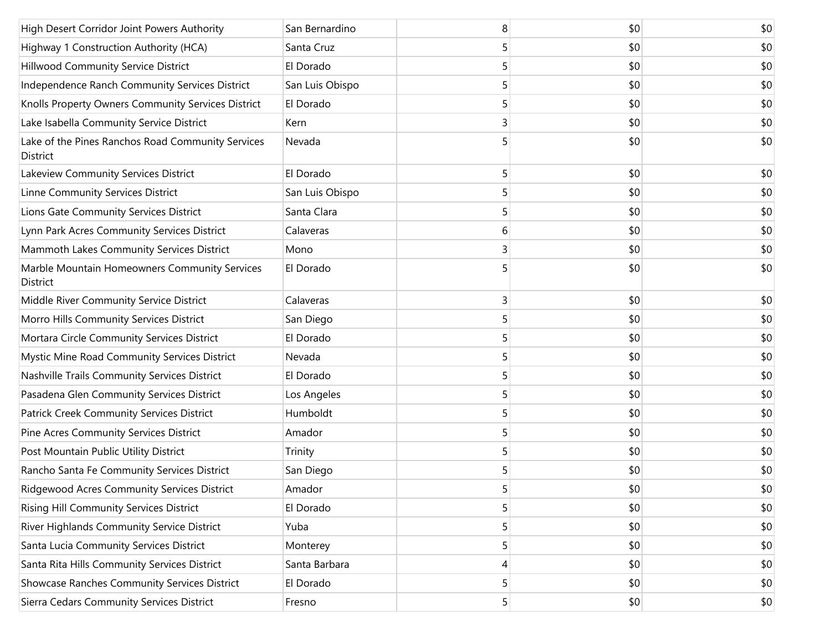| High Desert Corridor Joint Powers Authority                   | San Bernardino  | 8 | \$0 | \$0 |
|---------------------------------------------------------------|-----------------|---|-----|-----|
| Highway 1 Construction Authority (HCA)                        | Santa Cruz      | 5 | \$0 | \$0 |
| Hillwood Community Service District                           | El Dorado       |   | \$0 | \$0 |
| Independence Ranch Community Services District                | San Luis Obispo | 5 | \$0 | \$0 |
| Knolls Property Owners Community Services District            | El Dorado       | 5 | \$0 | \$0 |
| Lake Isabella Community Service District                      | Kern            | 3 | \$0 | \$0 |
| Lake of the Pines Ranchos Road Community Services<br>District | Nevada          |   | \$0 | \$0 |
| Lakeview Community Services District                          | El Dorado       | 5 | \$0 | \$0 |
| Linne Community Services District                             | San Luis Obispo | 5 | \$0 | \$0 |
| Lions Gate Community Services District                        | Santa Clara     | 5 | \$0 | \$0 |
| Lynn Park Acres Community Services District                   | Calaveras       | 6 | \$0 | \$0 |
| Mammoth Lakes Community Services District                     | Mono            | 3 | \$0 | \$0 |
| Marble Mountain Homeowners Community Services<br>District     | El Dorado       |   | \$0 | \$0 |
| Middle River Community Service District                       | Calaveras       | 3 | \$0 | \$0 |
| Morro Hills Community Services District                       | San Diego       | 5 | \$0 | \$0 |
| Mortara Circle Community Services District                    | El Dorado       | 5 | \$0 | \$0 |
| Mystic Mine Road Community Services District                  | Nevada          | 5 | \$0 | \$0 |
| Nashville Trails Community Services District                  | El Dorado       | 5 | \$0 | \$0 |
| Pasadena Glen Community Services District                     | Los Angeles     | 5 | \$0 | \$0 |
| Patrick Creek Community Services District                     | Humboldt        | 5 | \$0 | \$0 |
| Pine Acres Community Services District                        | Amador          | 5 | \$0 | \$0 |
| Post Mountain Public Utility District                         | Trinity         | 5 | \$0 | \$0 |
| Rancho Santa Fe Community Services District                   | San Diego       |   | \$0 | \$0 |
| <b>Ridgewood Acres Community Services District</b>            | Amador          | 5 | \$0 | \$0 |
| Rising Hill Community Services District                       | El Dorado       | 5 | \$0 | \$0 |
| River Highlands Community Service District                    | Yuba            | 5 | \$0 | \$0 |
| Santa Lucia Community Services District                       | Monterey        | 5 | \$0 | \$0 |
| Santa Rita Hills Community Services District                  | Santa Barbara   | 4 | \$0 | \$0 |
| Showcase Ranches Community Services District                  | El Dorado       | 5 | \$0 | \$0 |
| Sierra Cedars Community Services District                     | Fresno          | 5 | \$0 | \$0 |